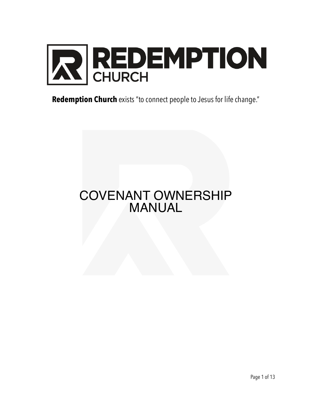

**Redemption Church** exists "to connect people to Jesus for life change."

# COVENANT OWNERSHIP MANUAL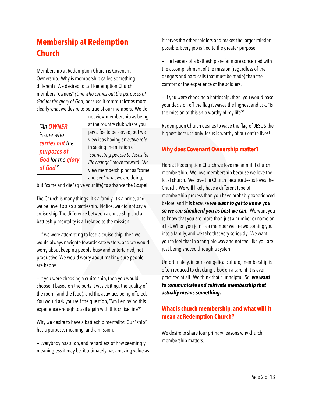## **Membership at Redemption Church**

Membership at Redemption Church is Covenant Ownership. Why is membership called something different? We desired to call Redemption Church members "owners" *(One who carries out the purposes of God for the glory of God)* because it communicates more clearly what we desire to be true of our members. We do



not view membership as being at the country club where you pay a fee to be served, but we view it as having an *active role* in seeing the mission of *"connecting people to Jesus for life change"* move forward. We view membership not as "come and see" what we are doing,

but "come and die" (give your life) to advance the Gospel!

The Church is many things: It's a family, it's a bride, and we believe it's also a battleship. Notice, we did not say a cruise ship. The difference between a cruise ship and a battleship mentality is all related to the mission.

— If we were attempting to lead a cruise ship, then we would always navigate towards safe waters, and we would worry about keeping people busy and entertained, not productive. We would worry about making sure people are happy.

— If you were choosing a cruise ship, then you would choose it based on the ports it was visiting, the quality of the room (and the food), and the activities being offered. You would ask yourself the question, "Am I enjoying this experience enough to sail again with this cruise line?"

Why we desire to have a battleship mentality: Our "ship" has a purpose, meaning, and a mission.

— Everybody has a job, and regardless of how seemingly meaningless it may be, it ultimately has amazing value as it serves the other soldiers and makes the larger mission possible. Every job is tied to the greater purpose.

— The leaders of a battleship are far more concerned with the accomplishment of the mission (regardless of the dangers and hard calls that must be made) than the comfort or the experience of the soldiers.

— If you were choosing a battleship, then you would base your decision off the flag it waves the highest and ask, "Is the mission of this ship worthy of my life?"

Redemption Church desires to wave the flag of JESUS the highest because only Jesus is worthy of our entire lives!

## **Why does Covenant Ownership matter?**

Here at Redemption Church we love meaningful church membership. We love membership because we love the local church. We love the Church because Jesus loves the Church. We will likely have a different type of membership process than you have probably experienced before, and it is because *we want to get to know you so we can shepherd you as best we can.* We want you to know that you are more than just a number or name on a list. When you join as a member we are welcoming you into a family, and we take that very seriously. We want you to feel that in a tangible way and not feel like you are just being shoved through a system.

Unfortunately, in our evangelical culture, membership is often reduced to checking a box on a card, if it is even practiced at all. We think that's unhelpful. So, *we want to communicate and cultivate membership that actually means something.*

## **What is church membership, and what will it mean at Redemption Church?**

We desire to share four primary reasons why church membership matters.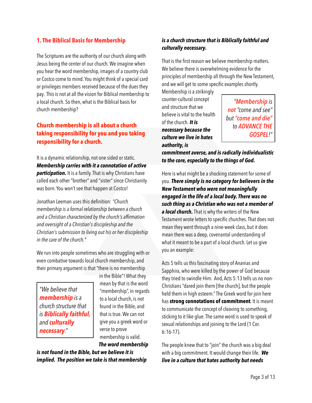## **1. The Biblical Basis for Membership**

The Scriptures are the authority of our church along with Jesus being the center of our church. We imagine when you hear the word membership, images of a country club or Costco come to mind. You might think of a special card or privileges members received because of the dues they pay. This is not at all the vision for Biblical membership to a local church. So then, what is the Biblical basis for church membership?

## **Church membership is all about a church taking responsibility for you and you taking responsibility for a church.**

It is a dynamic relationship, not one sided or static. *Membership carries with it a connotation of active participation.* It is a family. That is why Christians have called each other "brother" and "sister" since Christianity was born. You won't see that happen at Costco!

Jonathan Leeman uses this definition: *"Church membership is a formal relationship between a church and a Christian characterized by the church's affirmation and oversight of a Christian's discipleship and the Christian's submission to living out his or her discipleship in the care of the church."*

We run into people sometimes who are struggling with or even combative towards local church membership, and their primary argument is that "there is no membership

*"We believe that membership is a church structure that is Biblically faithful, and culturally necessary."* 

in the Bible"! What they mean by that is the word "membership", in regards to a local church, is not found in the Bible, and that is true. We can not give you a greek word or verse to prove membership is valid. *The word membership* 

*is not found in the Bible, but we believe it is implied. The position we take is that membership* 

### *is a church structure that is Biblically faithful and culturally necessary.*

That is the first reason we believe membership matters. We believe there is overwhelming evidence for the principles of membership all through the New Testament, and we will get to some specific examples shortly.

Membership is a strikingly counter-cultural concept and structure that we believe is vital to the health of the church. *It is necessary because the culture we live in hates authority, is* 

*"Membership is not "come and see" but "come and die" to ADVANCE THE GOSPEL!"*

*commitment averse, and is radically individualistic to the core, especially to the things of God.* 

Here is what might be a shocking statement for some of you. *There simply is no category for believers in the New Testament who were not meaningfully engaged in the life of a local body. There was no such thing as a Christian who was not a member of a local church.* That is why the writers of the New Testament wrote letters to specific churches. That does not mean they went through a nine-week class, but it does mean there was a deep, covenantal understanding of what it meant to be a part of a local church. Let us give you an example:

Acts 5 tells us this fascinating story of Ananias and Sapphira, who were killed by the power of God because they tried to swindle Him. And, Acts 5:13 tells us no non-Christians "dared join them [the church], but the people held them in high esteem." The Greek word for join here has **strong connotations of commitment**. It is meant to communicate the concept of cleaving to something, sticking to it like glue. The same word is used to speak of sexual relationships and joining to the Lord (1 Cor. 6:16-17).

The people knew that to "join" the church was a big deal with a big commitment. It would change their life. *We live in a culture that hates authority but needs*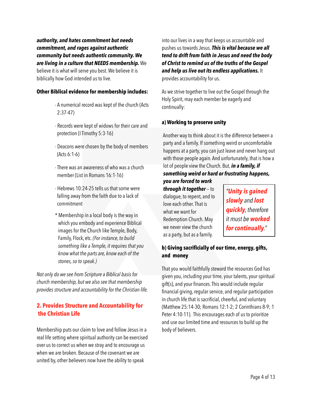*authority, and hates commitment but needs commitment, and rages against authentic community but needs authentic community. We are living in a culture that NEEDS membership.* We believe it is what will serve you best. We believe it is biblically how God intended us to live.

#### **Other Biblical evidence for membership includes:**

- A numerical record was kept of the church (Acts 2:37-47)
- Records were kept of widows for their care and protection (I Timothy 5:3-16)
- Deacons were chosen by the body of members (Acts 6:1-6)
- There was an awareness of who was a church member (List in Romans 16:1-16)
- Hebrews 10:24-25 tells us that some were falling away from the faith due to a lack of commitment
- \* Membership in a local body is the way in which you embody and experience Biblical images for the Church like Temple, Body, Family, Flock, etc. *(For instance, to build something like a Temple, it requires that you know what the parts are, know each of the stones, so to speak.)*

*Not only do we see from Scripture a Biblical basis for church membership, but we also see that membership provides structure and accountability for the Christian life.*

## **2. Provides Structure and Accountability for the Christian Life**

Membership puts our claim to love and follow Jesus in a real life setting where spiritual authority can be exercised over us to correct us when we stray and to encourage us when we are broken. Because of the covenant we are united by, other believers now have the ability to speak

into our lives in a way that keeps us accountable and pushes us towards Jesus. *This is vital because we all tend to drift from faith in Jesus and need the body of Christ to remind us of the truths of the Gospel and help us live out its endless applications.* It provides accountability for us.

As we strive together to live out the Gospel through the Holy Spirit, may each member be eagerly and continually:

#### **a) Working to preserve unity**

Another way to think about it is the difference between a party and a family. If something weird or uncomfortable happens at a party, you can just leave and never hang out with those people again. And unfortunately, that is how a lot of people view the Church. But, *in a family, if something weird or hard or frustrating happens,*

*you are forced to work through it together* — to dialogue, to repent, and to love each other. That is what we want for Redemption Church. May we never view the church as a party, but as a family.

*"Unity is gained slowly and lost quickly, therefore it must be worked for continually."*

## **b) Giving sacrificially of our time, energy, gifts, and money**

That you would faithfully steward the resources God has given you, including your time, your talents, your spiritual gift(s), and your finances. This would include regular financial giving, regular service, and regular participation in church life that is sacrificial, cheerful, and voluntary (Matthew 25:14-30; Romans 12:1-2; 2 Corinthians 8-9; 1 Peter 4:10-11). This encourages each of us to prioritize and use our limited time and resources to build up the body of believers.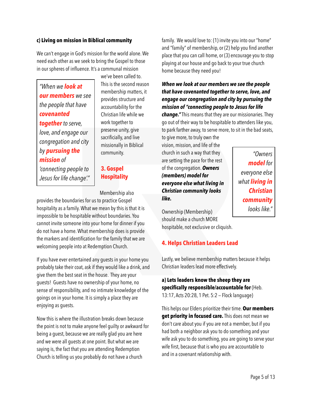#### **c) Living on mission in Biblical community**

We can't engage in God's mission for the world alone. We need each other as we seek to bring the Gospel to those in our spheres of influence. It's a communal mission

*"When we look at our members we see the people that have covenanted together to serve, love, and engage our congregation and city by pursuing the mission of* 

*'connecting people to Jesus for life change'."* we've been called to. This is the second reason membership matters, it provides structure and accountability for the Christian life while we work together to preserve unity, give sacrificially, and live missionally in Biblical community.

## **3. Gospel Hospitality**

Membership also

provides the boundaries for us to practice Gospel hospitality as a family. What we mean by this is that it is impossible to be hospitable without boundaries. You cannot invite someone into your home for dinner if you do not have a home. What membership does is provide the markers and identification for the family that we are welcoming people into at Redemption Church.

If you have ever entertained any guests in your home you probably take their coat, ask if they would like a drink, and give them the best seat in the house. They are your guests! Guests have no ownership of your home, no sense of responsibility, and no intimate knowledge of the goings on in your home. It is simply a place they are enjoying as guests.

Now this is where the illustration breaks down because the point is not to make anyone feel guilty or awkward for being a guest, because we are really glad you are here and we were all guests at one point. But what we are saying is, the fact that you are attending Redemption Church is telling us you probably do not have a church

family. We would love to: (1) invite you into our "home" and "family" of membership, or (2) help you find another place that you can call home, or (3) encourage you to stop playing at our house and go back to your true church home because they need you!

## *When we look at our members we see the people that have covenanted together to serve, love, and engage our congregation and city by pursuing the mission of "connecting people to Jesus for life*

*change."* This means that they are our missionaries. They go out of their way to be hospitable to attenders like you, to park farther away, to serve more, to sit in the bad seats,

to give more, to truly own the vision, mission, and life of the church in such a way that they are setting the pace for the rest of the congregation. *Owners (members) model for everyone else what living in Christian community looks like.*

*"Owners model for everyone else what living in Christian community looks like."*

Ownership (Membership) should make a church MORE hospitable, not exclusive or cliquish.

## **4. Helps Christian Leaders Lead**

Lastly, we believe membership matters because it helps Christian leaders lead more effectively.

## **a) Lets leaders know the sheep they are specifically responsible/accountable for** (Heb. 13:17, Acts 20:28, 1 Pet. 5:2 — Flock language)

This helps our Elders prioritize their time. **Our members get priority in focused care.** This does not mean we don't care about you if you are not a member, but if you had both a neighbor ask you to do something and your wife ask you to do something, you are going to serve your wife first, because that is who you are accountable to and in a covenant relationship with.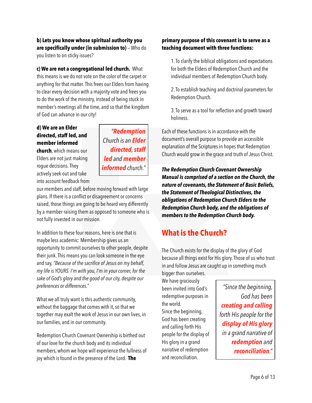**b) Lets you know whose spiritual authority you are specifically under (in submission to)** — Who do you listen to on sticky issues?

**c) We are not a congregational led church.** What this means is we do not vote on the color of the carpet or anything for that matter. This frees our Elders from having to clear every decision with a majority vote and frees you to do the work of the ministry, instead of being stuck in member's meetings all the time, and so that the kingdom of God can advance in our city!

## **d) We are an Elder directed, staff led, and member informed**

**church**, which means our Elders are not just making rogue decisions. They actively seek out and take into account feedback from

*"Redemption Church is an Elder directed, staff led and member informed church."*

our members and staff, before moving forward with large plans. If there is a conflict or disagreement or concerns raised, those things are going to be heard very differently by a member raising them as opposed to someone who is not fully invested in our mission.

In addition to these four reasons, here is one that is maybe less academic: Membership gives us an opportunity to commit ourselves to other people, despite their junk. This means you can look someone in the eye and say, *"Because of the sacrifice of Jesus on my behalf, my life is YOURS. I'm with you, I'm in your corner, for the sake of God's glory and the good of our city, despite our preferences or differences."*

What we all truly want is this authentic community, without the baggage that comes with it, so that we together may exalt the work of Jesus in our own lives, in our families, and in our community.

Redemption Church Covenant Ownership is birthed out of our love for the church body and its individual members, whom we hope will experience the fullness of joy which is found in the presence of the Lord. **The** 

### **primary purpose of this covenant is to serve as a teaching document with three functions:**

1. To clarify the biblical obligations and expectations for both the Elders of Redemption Church and the individual members of Redemption Church body.

2. To establish teaching and doctrinal parameters for Redemption Church.

3. To serve as a tool for reflection and growth toward holiness.

Each of these functions is in accordance with the document's overall purpose to provide an accessible explanation of the Scriptures in hopes that Redemption Church would grow in the grace and truth of Jesus Christ.

*The Redemption Church Covenant Ownership Manual is comprised of a section on the Church, the nature of covenants, the Statement of Basic Beliefs, the Statement of Theological Distinctives, the obligations of Redemption Church Elders to the Redemption Church body, and the obligations of members to the Redemption Church body.* 

## **What is the Church?**

The Church exists for the display of the glory of God because all things exist for His glory. Those of us who trust in and follow Jesus are caught up in something much bigger than ourselves.

We have graciously been invited into God's redemptive purposes in the world. Since the beginning, God has been creating and calling forth His people for the display of His glory in a grand narrative of redemption and reconciliation.

*"Since the beginning, God has been creating and calling forth His people for the display of His glory in a grand narrative of redemption and reconciliation."* 

Page 6 of 13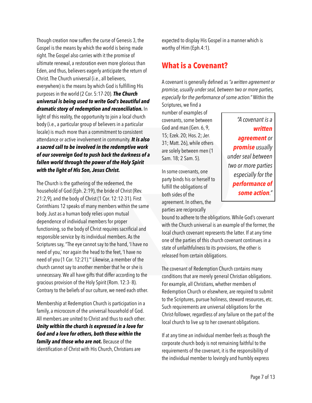Though creation now suffers the curse of Genesis 3, the Gospel is the means by which the world is being made right. The Gospel also carries with it the promise of ultimate renewal, a restoration even more glorious than Eden, and thus, believers eagerly anticipate the return of Christ. The Church universal (i.e., all believers, everywhere) is the means by which God is fulfilling His purposes in the world (2 Cor. 5:17-20). *The Church universal is being used to write God's beautiful and dramatic story of redemption and reconciliation.* In light of this reality, the opportunity to join a local church body (i.e., a particular group of believers in a particular locale) is much more than a commitment to consistent attendance or active involvement in community. *It is also a sacred call to be involved in the redemptive work of our sovereign God to push back the darkness of a fallen world through the power of the Holy Spirit with the light of His Son, Jesus Christ.* 

The Church is the gathering of the redeemed, the household of God (Eph. 2:19), the bride of Christ (Rev. 21:2,9), and the body of Christ (1 Cor. 12:12-31). First Corinthians 12 speaks of many members within the same body. Just as a human body relies upon mutual dependence of individual members for proper functioning, so the body of Christ requires sacrificial and responsible service by its individual members. As the Scriptures say, "The eye cannot say to the hand, 'I have no need of you,' nor again the head to the feet, 'I have no need of you (1 Cor. 12:21).'" Likewise, a member of the church cannot say to another member that he or she is unnecessary. We all have gifts that differ according to the gracious provision of the Holy Spirit (Rom. 12:3- 8). Contrary to the beliefs of our culture, we need each other.

Membership at Redemption Church is participation in a family, a microcosm of the universal household of God. All members are united to Christ and thus to each other. *Unity within the church is expressed in a love for God and a love for others, both those within the family and those who are not.* Because of the identification of Christ with His Church, Christians are

expected to display His Gospel in a manner which is worthy of Him (Eph.4:1).

## **What is a Covenant?**

A covenant is generally defined as *"a written agreement or promise, usually under seal, between two or more parties, especially for the performance of some action."* Within the Scriptures, we find a

number of examples of covenants, some between God and man (Gen. 6, 9, 15; Ezek. 20; Hos. 2; Jer. 31; Matt. 26), while others are solely between men (1 Sam. 18; 2 Sam. 5).

In some covenants, one party binds his or herself to fulfill the obligations of both sides of the agreement. In others, the parties are reciprocally

*"A covenant is a written agreement or promise usually under seal between two or more parties especially for the performance of some action."*

bound to adhere to the obligations. While God's covenant with the Church universal is an example of the former, the local church covenant represents the latter. If at any time one of the parties of this church covenant continues in a state of unfaithfulness to its provisions, the other is released from certain obligations.

The covenant of Redemption Church contains many conditions that are merely general Christian obligations. For example, all Christians, whether members of Redemption Church or elsewhere, are required to submit to the Scriptures, pursue holiness, steward resources, etc. Such requirements are universal obligations for the Christ-follower, regardless of any failure on the part of the local church to live up to her covenant obligations.

If at any time an individual member feels as though the corporate church body is not remaining faithful to the requirements of the covenant, it is the responsibility of the individual member to lovingly and humbly express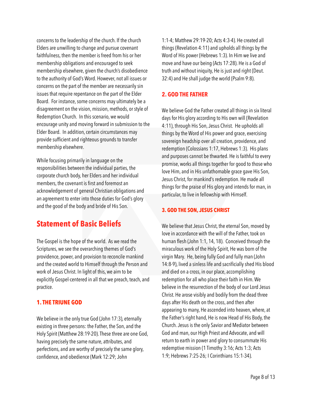concerns to the leadership of the church. If the church Elders are unwilling to change and pursue covenant faithfulness, then the member is freed from his or her membership obligations and encouraged to seek membership elsewhere, given the church's disobedience to the authority of God's Word. However, not all issues or concerns on the part of the member are necessarily sin issues that require repentance on the part of the Elder Board. For instance, some concerns may ultimately be a disagreement on the vision, mission, methods, or style of Redemption Church. In this scenario, we would encourage unity and moving forward in submission to the Elder Board. In addition, certain circumstances may provide sufficient and righteous grounds to transfer membership elsewhere.

While focusing primarily in language on the responsibilities between the individual parties, the corporate church body, her Elders and her individual members, the covenant is first and foremost an acknowledgement of general Christian obligations and an agreement to enter into those duties for God's glory and the good of the body and bride of His Son.

## **Statement of Basic Beliefs**

The Gospel is the hope of the world. As we read the Scriptures, we see the overarching themes of God's providence, power, and provision to reconcile mankind and the created world to Himself through the Person and work of Jesus Christ. In light of this, we aim to be explicitly Gospel-centered in all that we preach, teach, and practice.

#### **1. THE TRIUNE GOD**

We believe in the only true God ([John 17:3](http://biblia.com/bible/esv/John%2017.3)), eternally existing in three persons: the Father, the Son, and the Holy Spirit (Matthew 28:19-20). These three are one God, having precisely the same nature, attributes, and perfections, and are worthy of precisely the same glory, confidence, and obedience [\(Mark 12:29](http://biblia.com/bible/esv/Mark%2012.29); John

[1:1-4;](http://biblia.com/bible/esv/John%201.1-4) [Matthew 29:19-20;](http://biblia.com/bible/esv/Matthew%2029.19-20) [Acts 4:3-4](http://biblia.com/bible/esv/Acts%204.3-4)). He created all things ([Revelation 4:11\)](http://biblia.com/bible/esv/Revelation%204.11) and upholds all things by the Word of His power ([Hebrews 1:3](http://biblia.com/bible/esv/Hebrews%201.3)). In Him we live and move and have our being ([Acts 17:28\)](http://biblia.com/bible/esv/Acts%2017.28). He is a God of truth and without iniquity, He is just and right (Deut. 32:4) and He shall judge the world [\(Psalm 9:8\)](http://biblia.com/bible/esv/Psalm%209.8).

### **2. GOD THE FATHER**

We believe God the Father created all things in six literal days for His glory according to His own will [\(Revelation](http://biblia.com/bible/esv/Revelation%204.11)  [4:11](http://biblia.com/bible/esv/Revelation%204.11)), through His Son, Jesus Christ. He upholds all things by the Word of His power and grace, exercising sovereign headship over all creation, providence, and redemption [\(Colossians 1:17,](http://biblia.com/bible/esv/Colossians%201.17) [Hebrews 1:3\)](http://biblia.com/bible/esv/Hebrews%201.3). His plans and purposes cannot be thwarted. He is faithful to every promise, works all things together for good to those who love Him, and in His unfathomable grace gave His Son, Jesus Christ, for mankind's redemption. He made all things for the praise of His glory and intends for man, in particular, to live in fellowship with Himself.

#### **3. GOD THE SON, JESUS CHRIST**

We believe that Jesus Christ, the eternal Son, moved by love in accordance with the will of the Father, took on human flesh ([John 1:1](http://biblia.com/bible/esv/John%201.1), [14,](http://biblia.com/bible/esv/John%201.14) [18\)](http://biblia.com/bible/esv/John%201.18). Conceived through the miraculous work of the Holy Spirit, He was born of the virgin Mary. He, being fully God and fully man [\(John](http://biblia.com/bible/esv/John%2014.8-9)  [14:8-9\)](http://biblia.com/bible/esv/John%2014.8-9), lived a sinless life and sacrificially shed His blood and died on a cross, in our place, accomplishing redemption for all who place their faith in Him.We believe in the resurrection of the body of our Lord Jesus Christ. He arose visibly and bodily from the dead three days after His death on the cross, and then after appearing to many, He ascended into heaven, where, at the Father's right hand, He is now Head of His Body, the Church. Jesus is the only Savior and Mediator between God and man, our High Priest and Advocate, and will return to earth in power and glory to consummate His redemptive mission ([1 Timothy 3:16](http://biblia.com/bible/esv/1%20Timothy%203.16); [Acts 1:3](http://biblia.com/bible/esv/Acts%201.3); [Acts](http://biblia.com/bible/esv/Acts%201.9)  [1:9;](http://biblia.com/bible/esv/Acts%201.9) [Hebrews 7:25-26;](http://biblia.com/bible/esv/Hebrews%207.25-26) I Corinthians 15:1-34).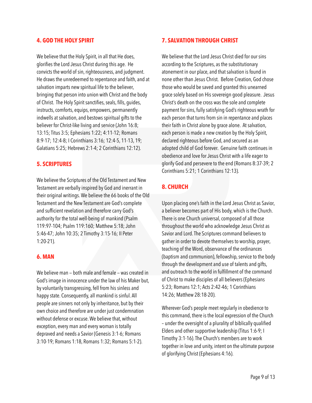#### **4. GOD THE HOLY SPIRIT**

We believe that the Holy Spirit, in all that He does, glorifies the Lord Jesus Christ during this age. He convicts the world of sin, righteousness, and judgment. He draws the unredeemed to repentance and faith, and at salvation imparts new spiritual life to the believer, bringing that person into union with Christ and the body of Christ. The Holy Spirit sanctifies, seals, fills, guides, instructs, comforts, equips, empowers, permanently indwells at salvation, and bestows spiritual gifts to the believer for Christ-like living and service ([John 16:8](http://biblia.com/bible/esv/John%2016.8); [13:15;](http://biblia.com/bible/esv/John%2013.15)[Titus 3:5](http://biblia.com/bible/esv/Titus%203.5); [Ephesians 1:22;](http://biblia.com/bible/esv/Ephesians%201.22) [4:11-12;](http://biblia.com/bible/esv/Ephesians%204.11-12) [Romans](http://biblia.com/bible/esv/Romans%208.9-17)  [8:9-17](http://biblia.com/bible/esv/Romans%208.9-17); [12:4-8;](http://biblia.com/bible/esv/Romans%2012.4-8) I Corinthians 3:16; [12:4-5,](http://biblia.com/bible/esv/1%20Corinthians%2012.4-5) [11-13](http://biblia.com/bible/esv/1%20Corinthians%2012.11-13), [19;](http://biblia.com/bible/esv/1%20Corinthians%2012.19) [Galatians 5:25](http://biblia.com/bible/esv/Galatians%205.25); [Hebrews 2:1-4;](http://biblia.com/bible/esv/Hebrews%202.1-4) [2 Corinthians 12:12\)](http://biblia.com/bible/esv/2%20Corinthians%2012.12).

#### **5. SCRIPTURES**

We believe the Scriptures of the Old Testament and New Testament are verbally inspired by God and inerrant in their original writings. We believe the 66 books of the Old Testament and the New Testament are God's complete and sufficient revelation and therefore carry God's authority for the total well-being of mankind ([Psalm](http://biblia.com/bible/esv/Psalm%20119.97-104)  [119:97-104;](http://biblia.com/bible/esv/Psalm%20119.97-104) [Psalm 119:160;](http://biblia.com/bible/esv/Psalm%20119.160) [Matthew 5:18;](http://biblia.com/bible/esv/Matthew%205.18) John [5:46-47](http://biblia.com/bible/esv/John%205.46-47); [John 10:35;](http://biblia.com/bible/esv/John%2010.35) [2 Timothy 3:15-16;](http://biblia.com/bible/esv/2%20Timothy%203.15-16) II Peter 1:20-21).

#### **6. MAN**

We believe man — both male and female — was created in God's image in innocence under the law of his Maker but, by voluntarily transgressing, fell from his sinless and happy state. Consequently, all mankind is sinful. All people are sinners not only by inheritance, but by their own choice and therefore are under just condemnation without defense or excuse. We believe that, without exception, every man and every woman is totally depraved and needs a Savior [\(Genesis 3:1-6](http://biblia.com/bible/esv/Genesis%203.1-6); [Romans](http://biblia.com/bible/esv/Romans%203.10-19)  [3:10-19](http://biblia.com/bible/esv/Romans%203.10-19); [Romans 1:18,](http://biblia.com/bible/esv/Romans%201.18) [Romans 1:32](http://biblia.com/bible/esv/Romans%201.32); [Romans 5:1-2](http://biblia.com/bible/esv/Romans%205.1-2)).

#### **7. SALVATION THROUGH CHRIST**

We believe that the Lord Jesus Christ died for our sins according to the Scriptures, as the substitutionary atonement in our place, and that salvation is found in none other than Jesus Christ. Before Creation, God chose those who would be saved and granted this unearned grace solely based on His sovereign good pleasure. Jesus Christ's death on the cross was the sole and complete payment for sins, fully satisfying God's righteous wrath for each person that turns from sin in repentance and places their faith in Christ alone by grace alone. At salvation, each person is made a new creation by the Holy Spirit, declared righteous before God, and secured as an adopted child of God forever. Genuine faith continues in obedience and love for Jesus Christ with a life eager to glorify God and persevere to the end [\(Romans 8:37-39;](http://biblia.com/bible/esv/Romans%208.37-39) [2](http://biblia.com/bible/esv/2%20Corinthians%205.21)  [Corinthians 5:21](http://biblia.com/bible/esv/2%20Corinthians%205.21); [1 Corinthians 12:13](http://biblia.com/bible/esv/1%20Corinthians%2012.13)).

## **8. CHURCH**

Upon placing one's faith in the Lord Jesus Christ as Savior, a believer becomes part of His body, which is the Church. There is one Church universal, composed of all those throughout the world who acknowledge Jesus Christ as Savior and Lord. The Scriptures command believers to gather in order to devote themselves to worship, prayer, teaching of the Word, observance of the ordinances (baptism and communion), fellowship, service to the body through the development and use of talents and gifts, and outreach to the world in fulfillment of the command of Christ to make disciples of all believers ([Ephesians](http://biblia.com/bible/esv/Ephesians%205.23)  [5:23](http://biblia.com/bible/esv/Ephesians%205.23); [Romans 12:1;](http://biblia.com/bible/esv/Romans%2012.1) [Acts 2:42-46;](http://biblia.com/bible/esv/Acts%202.42-46) [1 Corinthians](http://biblia.com/bible/esv/1%20Corinthians%2014.26)  [14:26](http://biblia.com/bible/esv/1%20Corinthians%2014.26); [Matthew 28:18-20](http://biblia.com/bible/esv/Matthew%2028.18-20)).

Wherever God's people meet regularly in obedience to this command, there is the local expression of the Church – under the oversight of a plurality of biblically qualified Elders and other supportive leadership (Titus 1:6-9; I Timothy 3:1-16). The Church's members are to work together in love and unity, intent on the ultimate purpose of glorifying Christ ([Ephesians 4:16](http://biblia.com/bible/esv/Ephesians%204.16)).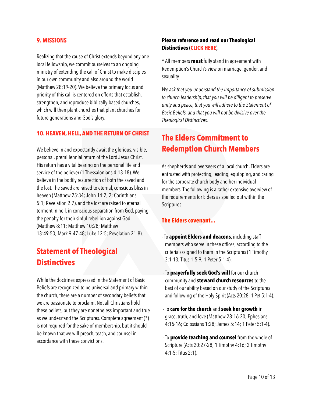#### **9. MISSIONS**

Realizing that the cause of Christ extends beyond any one local fellowship, we commit ourselves to an ongoing ministry of extending the call of Christ to make disciples in our own community and also around the world ([Matthew 28:19-20\)](http://biblia.com/bible/esv/Matthew%2028.19-20). We believe the primary focus and priority of this call is centered on efforts that establish, strengthen, and reproduce biblically-based churches, which will then plant churches that plant churches for future generations and God's glory.

#### **10. HEAVEN, HELL, AND THE RETURN OF CHRIST**

We believe in and expectantly await the glorious, visible, personal, premillennial return of the Lord Jesus Christ. His return has a vital bearing on the personal life and service of the believer [\(1 Thessalonians 4:13-18](http://biblia.com/bible/esv/1%20Thessalonians%204.13-18)). We believe in the bodily resurrection of both the saved and the lost. The saved are raised to eternal, conscious bliss in heaven ([Matthew 25:34](http://biblia.com/bible/esv/Matthew%2025.34); [John 14:2;](http://biblia.com/bible/esv/John%2014.2) [2;](http://biblia.com/bible/esv/John%2014.2) Corinthians 5:1; [Revelation 2:7\)](http://biblia.com/bible/esv/Revelation%202.7), and the lost are raised to eternal torment in hell, in conscious separation from God, paying the penalty for their sinful rebellion against God. ([Matthew 8:11;](http://biblia.com/bible/esv/Matthew%208.11) [Matthew 10:28](http://biblia.com/bible/esv/Matthew%2010.28); [Matthew](http://biblia.com/bible/esv/Matthew%2013.49-50)  [13:49-50](http://biblia.com/bible/esv/Matthew%2013.49-50); [Mark 9:47-48](http://biblia.com/bible/esv/Mark%209.47-48); [Luke 12:5](http://biblia.com/bible/esv/Luke%2012.5); [Revelation 21:8](http://biblia.com/bible/esv/Revelation%2021.8)).

## **Statement of Theological Distinctives**

While the doctrines expressed in the Statement of Basic Beliefs are recognized to be universal and primary within the church, there are a number of secondary beliefs that we are passionate to proclaim. Not all Christians hold these beliefs, but they are nonetheless important and true as we understand the Scriptures. Complete agreement (\*) is not required for the sake of membership, but it should be known that we will preach, teach, and counsel in accordance with these convictions.

#### **Please reference and read our Theological Distinctives** (**[CLICK HERE](https://6475910b-fca3-4d99-b381-37278b26b97c.filesusr.com/ugd/97234e_917f6f9da54c48ac84edcef6b545749e.pdf)**).

\* All members **must** fully stand in agreement with Redemption's Church's view on marriage, gender, and sexuality.

*We ask that you understand the importance of submission to church leadership, that you will be diligent to preserve unity and peace, that you will adhere to the Statement of Basic Beliefs, and that you will not be divisive over the Theological Distinctives.* 

## **The Elders Commitment to Redemption Church Members**

As shepherds and overseers of a local church, Elders are entrusted with protecting, leading, equipping, and caring for the corporate church body and her individual members. The following is a rather extensive overview of the requirements for Elders as spelled out within the Scriptures.

#### **The Elders covenant...**

- To **appoint Elders and deacons**, including staff members who serve in these offices, according to the criteria assigned to them in the Scriptures (1 Timothy 3:1-13; Titus 1:5-9; 1 Peter 5:1-4).
- To **prayerfully seek God's will** for our church community and **steward church resources** to the best of our ability based on our study of the Scriptures and following of the Holy Spirit (Acts 20:28; 1 Pet 5:1-4).
- To **care for the church** and **seek her growth** in grace, truth, and love (Matthew 28:16-20; Ephesians 4:15-16; Colossians 1:28; James 5:14; 1 Peter 5:1-4).
- To **provide teaching and counsel** from the whole of Scripture (Acts 20:27-28; 1 Timothy 4:16; 2 Timothy 4:1-5; Titus 2:1).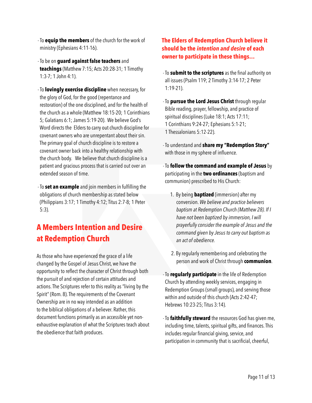- To **equip the members** of the church for the work of ministry (Ephesians 4:11-16).
- To be on **guard against false teachers** and **teachings** (Matthew 7:15; Acts 20:28-31; 1 Timothy 1:3-7; 1 John 4:1).
- To **lovingly exercise discipline** when necessary, for the glory of God, for the good (repentance and restoration) of the one disciplined, and for the health of the church as a whole (Matthew 18:15-20; 1 Corinthians 5; Galatians 6:1; James 5:19-20). We believe God's Word directs the Elders to carry out church discipline for covenant owners who are unrepentant about their sin. The primary goal of church discipline is to restore a covenant owner back into a healthy relationship with the church body. We believe that church discipline is a patient and gracious process that is carried out over an extended season of time.
- To **set an example** and join members in fulfilling the obligations of church membership as stated below (Philippians 3:17; 1 Timothy 4:12; Titus 2:7-8; 1 Peter 5:3).

## **A Members Intention and Desire at Redemption Church**

As those who have experienced the grace of a life changed by the Gospel of Jesus Christ, we have the opportunity to reflect the character of Christ through both the pursuit of and rejection of certain attitudes and actions. The Scriptures refer to this reality as "living by the Spirit" (Rom. 8). The requirements of the Covenant Ownership are in no way intended as an addition to the biblical obligations of a believer. Rather, this document functions primarily as an accessible yet nonexhaustive explanation of what the Scriptures teach about the obedience that faith produces.

## **The Elders of Redemption Church believe it should be the** *intention and desire* **of each owner to participate in these things…**

- To **submit to the scriptures** as the final authority on all issues (Psalm 119; 2 Timothy 3:14-17; 2 Peter 1:19-21).
- To **pursue the Lord Jesus Christ** through regular Bible reading, prayer, fellowship, and practice of spiritual disciplines (Luke 18:1; Acts 17:11; 1 Corinthians 9:24-27; Ephesians 5:1-21; 1 Thessalonians 5:12-22).
- To understand and **share my "Redemption Story"** with those in my sphere of influence.
- To **follow the command and example of Jesus** by participating in the **two ordinances** (baptism and communion) prescribed to His Church:
	- 1. By being **baptized** (immersion) after my conversion. *We believe and practice believers baptism at Redemption Church (Matthew 28). If I have not been baptized by immersion, I will prayerfully consider the example of Jesus and the command given by Jesus to carry out baptism as an act of obedience.*
	- 2. By regularly remembering and celebrating the person and work of Christ through **communion**.
- To **regularly participate** in the life of Redemption Church by attending weekly services, engaging in Redemption Groups (small groups), and serving those within and outside of this church (Acts 2:42-47; Hebrews 10:23-25; Titus 3:14).

 - To **faithfully steward** the resources God has given me, including time, talents, spiritual gifts, and finances. This includes regular financial giving, service, and participation in community that is sacrificial, cheerful,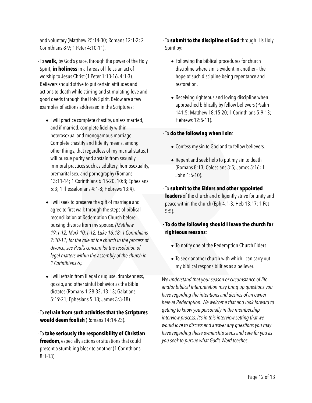and voluntary (Matthew 25:14-30; Romans 12:1-2; 2 Corinthians 8-9; 1 Peter 4:10-11).

- To **walk,** by God's grace, through the power of the Holy Spirit, **in holiness** in all areas of life as an act of worship to Jesus Christ (1 Peter 1:13-16, 4:1-3). Believers should strive to put certain attitudes and actions to death while stirring and stimulating love and good deeds through the Holy Spirit. Below are a few examples of actions addressed in the Scriptures:
	- I will practice complete chastity, unless married, and if married, complete fidelity within heterosexual and monogamous marriage. Complete chastity and fidelity means, among other things, that regardless of my marital status, I will pursue purity and abstain from sexually immoral practices such as adultery, homosexuality, premarital sex, and pornography (Romans 13:11-14; 1 Corinthians 6:15-20, 10:8; Ephesians 5:3; 1 Thessalonians 4:1-8; Hebrews 13:4).
	- I will seek to preserve the gift of marriage and agree to first walk through the steps of biblical reconciliation at Redemption Church before pursing divorce from my spouse. *(Matthew 19:1-12; Mark 10:1-12; Luke 16:18; 1 Corinthians 7:10-11; for the role of the church in the process of divorce, see Paul's concern for the resolution of legal matters within the assembly of the church in 1 Corinthians 6).*
	- I will refrain from illegal drug use, drunkenness, gossip, and other sinful behavior as the Bible dictates (Romans 1:28-32, 13:13; Galatians 5:19-21; Ephesians 5:18; James 3:3-18).
- To **refrain from such activities that the Scriptures would deem foolish** (Romans 14:14-23).
- To **take seriously the responsibility of Christian freedom**, especially actions or situations that could present a stumbling block to another (1 Corinthians 8:1-13).

 - To **submit to the discipline of God** through His Holy Spirit by:

- Following the biblical procedures for church discipline where sin is evident in another— the hope of such discipline being repentance and restoration.
- Receiving righteous and loving discipline when approached biblically by fellow believers (Psalm 141:5; Matthew 18:15-20; 1 Corinthians 5:9-13; Hebrews 12:5-11).

#### - To **do the following when I sin**:

- Confess my sin to God and to fellow believers.
- Repent and seek help to put my sin to death (Romans 8:13; Colossians 3:5; James 5:16; 1 John 1:6-10).

 - To **submit to the Elders and other appointed leaders** of the church and diligently strive for unity and peace within the church (Eph 4:1-3; Heb 13:17; 1 Pet 5:5).

- **To do the following should I leave the church for righteous reasons**:
	- To notify one of the Redemption Church Elders
	- To seek another church with which I can carry out my biblical responsibilities as a believer.

*We understand that your season or circumstance of life and/or biblical interpretation may bring up questions you have regarding the intentions and desires of an owner here at Redemption. We welcome that and look forward to getting to know you personally in the membership interview process. It's in this interview setting that we would love to discuss and answer any questions you may have regarding these ownership steps and care for you as you seek to pursue what God's Word teaches.*